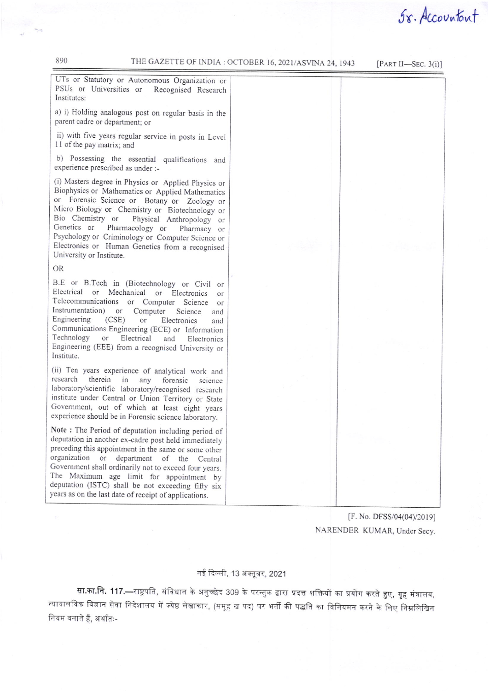890

[PART II-SEC.  $3(i)$ ]

UTs or Statutory or Autonomous Organization or PSUs or Universities or Recognised Research Institutes:

a) i) Holding analogous post on regular basis in the parent cadre or department; or

ii) with five years regular service in posts in Level 11 of the pay matrix; and

b) Possessing the essential qualifications and experience prescribed as under :-

(i) Masters degree in Physics or Applied Physics or Biophysics or Mathematics or Applied Mathematics or Forensic Science or Botany or Zoology or Micro Biology or Chemistry or Biotechnology or Bio Chemistry or Physical Anthropology or Genetics or Pharmacology or Pharmacy or Psychology or Criminology or Computer Science or Electronics or Human Genetics from a recognised University or Institute.

**OR** 

B.E or B.Tech in (Biotechnology or Civil or Electrical or Mechanical or Electronics or Telecommunications or Computer Science or Instrumentation) or Computer Science and Engineering  $(CSE)$ or Electronics and Communications Engineering (ECE) or Information Technology or Electrical and Electronics Engineering (EEE) from a recognised University or Institute.

(ii) Ten years experience of analytical work and research therein in any forensic science laboratory/scientific laboratory/recognised research institute under Central or Union Territory or State Government, out of which at least eight years experience should be in Forensic science laboratory.

Note: The Period of deputation including period of deputation in another ex-cadre post held immediately preceding this appointment in the same or some other organization or department of the Central Government shall ordinarily not to exceed four years. The Maximum age limit for appointment by deputation (ISTC) shall be not exceeding fifty six years as on the last date of receipt of applications.

Sx. Accountant

[F. No. DFSS/04(04)/2019] NARENDER KUMAR, Under Secy.

## नई दिल्ली, 13 अक्तूबर, 2021

सा.का.नि. 117.—राष्ट्रपति, संविधान के अनुच्छेद 309 के परन्तुक द्वारा प्रदत्त शक्तियों का प्रयोग करते हुए, गृह मंत्रालय, न्यायालयिक विज्ञान सेवा निदेशालय में ज्येष्ठ लेखाकार, (समूह ख पद) पर भर्ती की पद्धति का विनियमन करने के लिए निम्नलिखित नियम बनाते हैं, अर्थातः-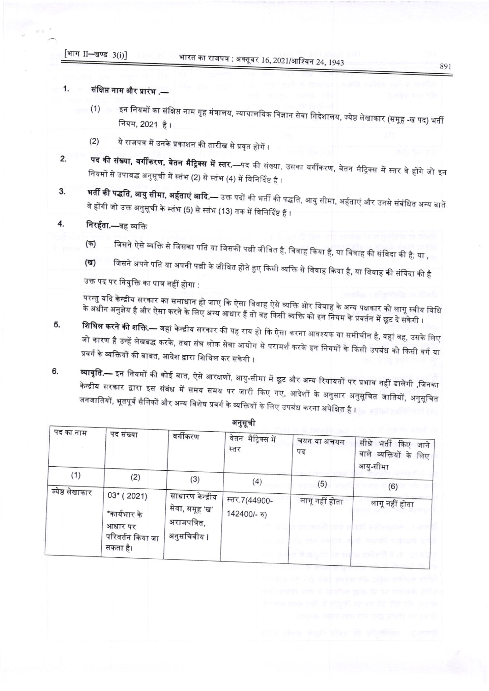[भाग II-खण्ड 3(i)]

## $1.$ संक्षिप्त नाम और प्रारंभ .—

- इन नियमों का संक्षिप्त नाम गृह मंत्रालय, न्यायालयिक विज्ञान सेवा निदेशालय, ज्येष्ठ लेखाकार (समूह -ख पद) भर्ती  $(1)$ नियम, 2021 है।
- ये राजपत्र में उनके प्रकाशन की तारीख से प्रवृत होगें ।  $(2)$
- **पद की संख्या, वर्गीकरण, वेतन मैट्रिक्स में स्तर.—**पद की संख्या, उसका वर्गीकरण, वेतन मैट्रिक्स में स्तर वे होंगे जो इन  $2.$ नियमों से उपाबद्ध अनुसूची में स्तंभ (2) से स्तंभ (4) में विनिर्दिष्ट है ।
- **भर्ती की पद्धति, आयु सीमा, अर्हताएं आदि.—** उक्त पदों की भर्ती की पद्धति, आयु सीमा, अर्हताएं और उनसे संबंधित अन्य बातें 3. वे होंगी जो उक्त अनुसूची के स्तंभ (5) से स्तंभ (13) तक में विनिर्दिष्ट हैं ।

## 4. निरर्हता.—वह व्यक्ति

- जिसने ऐसे व्यक्ति से जिसका पति या जिसकी पत्नी जीवित है, विवाह किया है, या विवाह की संविदा की है; या , (क)
- जिसने अपने पति या अपनी पत्नी के जीवित होते हुए किसी व्यक्ति से विवाह किया है, या विवाह की संविदा की है **(ख)** उक्त पद पर नियुक्ति का पात्र नहीं होगा :

परन्तु यदि केन्द्रीय सरकार का समाधान हो जाए कि ऐसा विवाह ऐसे व्यक्ति ओर विवाह के अन्य पक्षकार को लागू स्वीय विधि के अधीन अनुज्ञेय है और ऐसा करने के लिए अन्य आधार हैं तो वह किसी व्यक्ति को इन नियम के प्रवर्तन में छूट दे सकेगी ।

- **शिथिल करने की शक्ति.—** जहां केन्द्रीय सरकार की यह राय हो कि ऐसा करना आवश्यक या समीचीन है, वहां वह, उसके लिए 5. जो कारण है उन्हें लेखबद्ध करके, तथा संघ लोक सेवा आयोग से परामर्श करके इन नियमों के किसी उपबंध को किसी वर्ग या प्रवर्ग के व्यक्तियों की बाबत, आदेश द्वारा शिथिल कर सकेगी ।
- **व्यावृति.—** इन नियमों की कोई बात, ऐसे आरक्षणों, आयु-सीमा में छूट और अन्य रियायतों पर प्रभाव नहीं डालेगी ,जिनका 6. केन्द्रीय सरकार द्वारा इस संबंध में समय समय पर जारी किए गए, आदेशों के अनुसार अनुसूचित जातियों, अनुसूचित जनजातियों, भूतपूर्व सैनिकों और अन्य विशेष प्रवर्ग के व्यक्तियों के लिए उपबंध करना अपेक्षित है ।

| पद का नाम              | पद संख्या                                                              | वर्गीकरण                                                         | वेतन मैट्रिक्स में<br>स्तर    | चयन या अचयन<br>पद | सीधे भर्ती किए जाने<br>वाले व्यक्तियों के लिए<br>आयु-सीमा       |
|------------------------|------------------------------------------------------------------------|------------------------------------------------------------------|-------------------------------|-------------------|-----------------------------------------------------------------|
| (1)<br>ज्येष्ठ लेखाकार | (2)                                                                    | (3)                                                              | (4)                           | (5)               | (6)                                                             |
|                        | $03*(2021)$<br>*कार्यभार के<br>आधार पर<br>परिवर्तन किया जा<br>सकता है। | साधारण केन्द्रीय<br>सेवा, समूह 'ख'<br>अराजपत्रित,<br>अनुसचिवीय । | स्तर.7(44900-<br>142400/- रु) | लागू नहीं होता    | लागू नहीं होता<br>SST A FLORIDAY LAP<br>ya saka ya tati wa 1979 |

अनुसूची